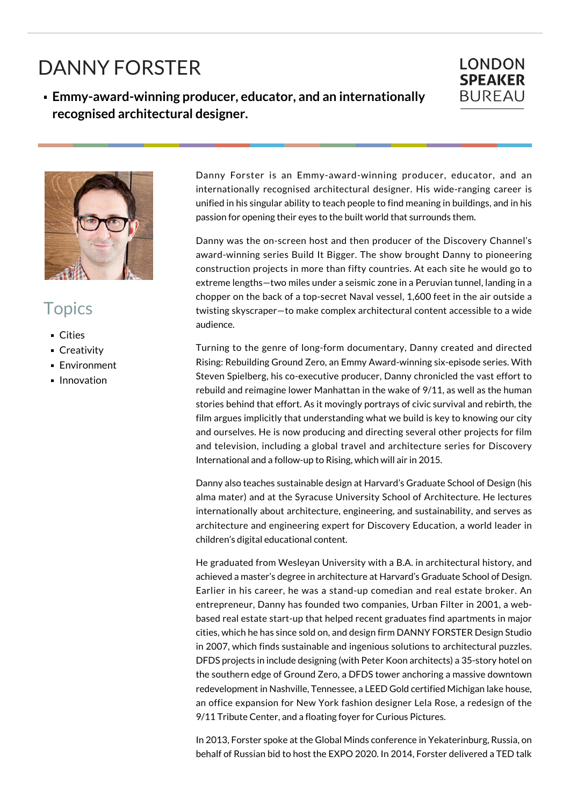## DANNY FORSTER

**Emmy-award-winning producer, educator, and an internationally recognised architectural designer.**





## **Topics**

- Cities
- **Creativity**
- **Environment**
- **Innovation**

Danny Forster is an Emmy-award-winning producer, educator, and an internationally recognised architectural designer. His wide-ranging career is unified in his singular ability to teach people to find meaning in buildings, and in his passion for opening their eyes to the built world that surrounds them.

Danny was the on-screen host and then producer of the Discovery Channel's award-winning series Build It Bigger. The show brought Danny to pioneering construction projects in more than fifty countries. At each site he would go to extreme lengths—two miles under a seismic zone in a Peruvian tunnel, landing in a chopper on the back of a top-secret Naval vessel, 1,600 feet in the air outside a twisting skyscraper—to make complex architectural content accessible to a wide audience.

Turning to the genre of long-form documentary, Danny created and directed Rising: Rebuilding Ground Zero, an Emmy Award-winning six-episode series. With Steven Spielberg, his co-executive producer, Danny chronicled the vast effort to rebuild and reimagine lower Manhattan in the wake of 9/11, as well as the human stories behind that effort. As it movingly portrays of civic survival and rebirth, the film argues implicitly that understanding what we build is key to knowing our city and ourselves. He is now producing and directing several other projects for film and television, including a global travel and architecture series for Discovery International and a follow-up to Rising, which will air in 2015.

Danny also teaches sustainable design at Harvard's Graduate School of Design (his alma mater) and at the Syracuse University School of Architecture. He lectures internationally about architecture, engineering, and sustainability, and serves as architecture and engineering expert for Discovery Education, a world leader in children's digital educational content.

He graduated from Wesleyan University with a B.A. in architectural history, and achieved a master's degree in architecture at Harvard's Graduate School of Design. Earlier in his career, he was a stand-up comedian and real estate broker. An entrepreneur, Danny has founded two companies, Urban Filter in 2001, a webbased real estate start-up that helped recent graduates find apartments in major cities, which he has since sold on, and design firm DANNY FORSTER Design Studio in 2007, which finds sustainable and ingenious solutions to architectural puzzles. DFDS projects in include designing (with Peter Koon architects) a 35-story hotel on the southern edge of Ground Zero, a DFDS tower anchoring a massive downtown redevelopment in Nashville, Tennessee, a LEED Gold certified Michigan lake house, an office expansion for New York fashion designer Lela Rose, a redesign of the 9/11 Tribute Center, and a floating foyer for Curious Pictures.

In 2013, Forster spoke at the Global Minds conference in Yekaterinburg, Russia, on behalf of Russian bid to host the EXPO 2020. In 2014, Forster delivered a TED talk